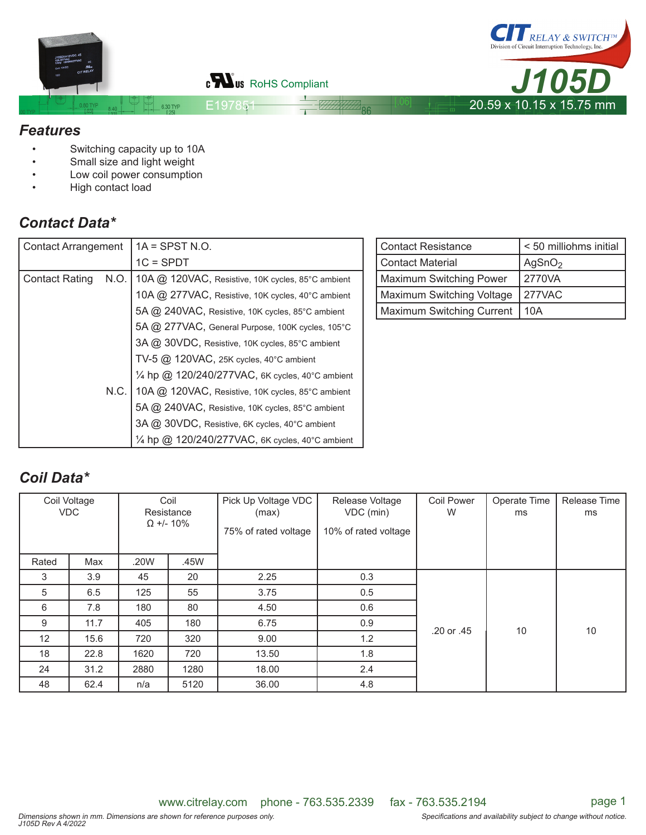

#### *Features*

- Switching capacity up to 10A
- Small size and light weight
- Low coil power consumption
- High contact load

# *Contact Data\**

| <b>Contact Arrangement</b> |      | $1A = SPST N.O.$                                  |  | Contad |
|----------------------------|------|---------------------------------------------------|--|--------|
|                            |      | $1C = SPDT$                                       |  | Contad |
| <b>Contact Rating</b>      | N.O. | 10A @ 120VAC, Resistive, 10K cycles, 85°C ambient |  | Maxim  |
|                            |      | 10A @ 277VAC, Resistive, 10K cycles, 40°C ambient |  | Maxim  |
|                            |      | 5A @ 240VAC, Resistive, 10K cycles, 85°C ambient  |  | Maxim  |
|                            |      | 5A @ 277VAC, General Purpose, 100K cycles, 105°C  |  |        |
|                            |      | 3A @ 30VDC, Resistive, 10K cycles, 85°C ambient   |  |        |
|                            |      | $TV-5$ @ 120VAC, 25K cycles, 40°C ambient         |  |        |
|                            |      | 1/4 hp @ 120/240/277VAC, 6K cycles, 40°C ambient  |  |        |
|                            | N.C. | 10A @ 120VAC, Resistive, 10K cycles, 85°C ambient |  |        |
|                            |      | 5A @ 240VAC, Resistive, 10K cycles, 85°C ambient  |  |        |
|                            |      | 3A @ 30VDC, Resistive, 6K cycles, 40°C ambient    |  |        |
|                            |      | 1/4 hp @ 120/240/277VAC, 6K cycles, 40°C ambient  |  |        |

| Contact Resistance        | < 50 milliohms initial |  |  |  |
|---------------------------|------------------------|--|--|--|
| Contact Material          | AgSnO <sub>2</sub>     |  |  |  |
| Maximum Switching Power   | 2770VA                 |  |  |  |
| Maximum Switching Voltage | 277VAC                 |  |  |  |
| Maximum Switching Current | 10A                    |  |  |  |

# *Coil Data\**

| Coil Voltage<br><b>VDC</b> |      | Coil<br>Resistance<br>$\Omega$ +/- 10% |      | Pick Up Voltage VDC<br>(max)<br>75% of rated voltage | Release Voltage<br>VDC (min)<br>10% of rated voltage | <b>Coil Power</b><br>W | Operate Time<br>ms | Release Time<br>ms |
|----------------------------|------|----------------------------------------|------|------------------------------------------------------|------------------------------------------------------|------------------------|--------------------|--------------------|
| Rated                      | Max  | .20W                                   | .45W |                                                      |                                                      |                        |                    |                    |
| 3                          | 3.9  | 45                                     | 20   | 2.25                                                 | 0.3                                                  |                        |                    |                    |
| 5                          | 6.5  | 125                                    | 55   | 3.75                                                 | 0.5                                                  |                        |                    |                    |
| 6                          | 7.8  | 180                                    | 80   | 4.50                                                 | 0.6                                                  |                        |                    |                    |
| 9                          | 11.7 | 405                                    | 180  | 6.75                                                 | 0.9                                                  | .20 or .45             | 10                 | 10                 |
| 12                         | 15.6 | 720                                    | 320  | 9.00                                                 | 1.2                                                  |                        |                    |                    |
| 18                         | 22.8 | 1620                                   | 720  | 13.50                                                | 1.8                                                  |                        |                    |                    |
| 24                         | 31.2 | 2880                                   | 1280 | 18.00                                                | 2.4                                                  |                        |                    |                    |
| 48                         | 62.4 | n/a                                    | 5120 | 36.00                                                | 4.8                                                  |                        |                    |                    |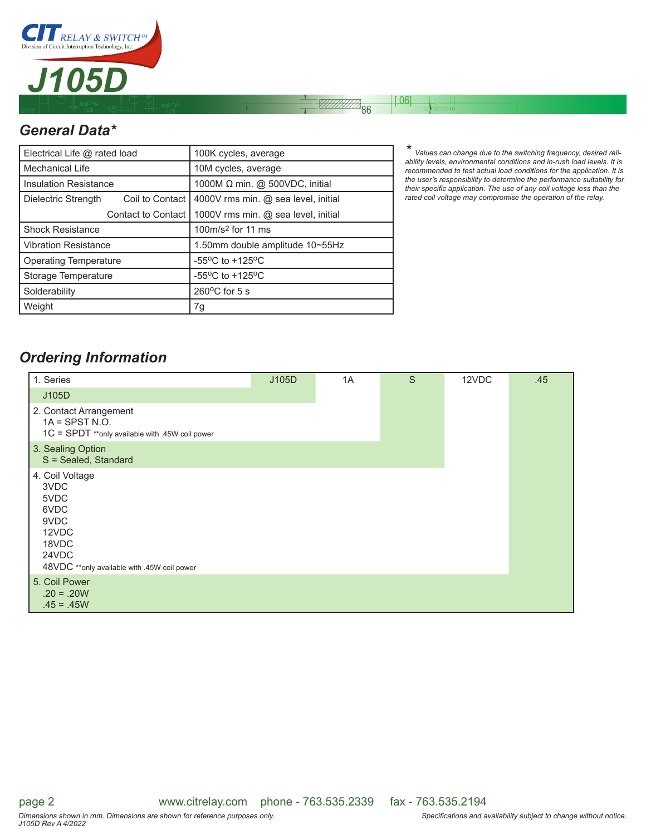

## *General Data\**

| Electrical Life @ rated load           |                           | 100K cycles, average                                  |  |  |
|----------------------------------------|---------------------------|-------------------------------------------------------|--|--|
| Mechanical Life                        |                           | 10M cycles, average                                   |  |  |
| <b>Insulation Resistance</b>           |                           | 1000M Ω min. @ 500VDC, initial                        |  |  |
| Coil to Contact<br>Dielectric Strength |                           | 4000V rms min. @ sea level, initial                   |  |  |
|                                        | <b>Contact to Contact</b> | 1000V rms min. @ sea level, initial                   |  |  |
| <b>Shock Resistance</b>                |                           | 100m/s <sup>2</sup> for 11 ms                         |  |  |
| <b>Vibration Resistance</b>            |                           | 1.50mm double amplitude 10~55Hz                       |  |  |
| <b>Operating Temperature</b>           |                           | -55 $\mathrm{^{\circ}C}$ to +125 $\mathrm{^{\circ}C}$ |  |  |
| Storage Temperature                    |                           | -55 $\mathrm{^{\circ}C}$ to +125 $\mathrm{^{\circ}C}$ |  |  |
| Solderability                          |                           | $260^{\circ}$ C for 5 s                               |  |  |
| Weight                                 |                           | 7g                                                    |  |  |

*\* Values can change due to the switching frequency, desired reli-ability levels, environmental conditions and in-rush load levels. It is recommended to test actual load conditions for the application. It is the user's responsibility to determine the performance suitability for*  their specific application. The use of any coil voltage less than the *rated coil voltage may compromise the operation of the relay.*

 $[.06]$ 

 $\sqrt[4]{86}$ 

### *Ordering Information*

| 1. Series                                                                                                                 | J105D | 1A | S | 12VDC | .45 |
|---------------------------------------------------------------------------------------------------------------------------|-------|----|---|-------|-----|
| J105D                                                                                                                     |       |    |   |       |     |
| 2. Contact Arrangement<br>$1A =$ SPST N.O.<br>1C = SPDT **only available with .45W coil power                             |       |    |   |       |     |
| 3. Sealing Option<br>S = Sealed, Standard                                                                                 |       |    |   |       |     |
| 4. Coil Voltage<br>3VDC<br>5VDC<br>6VDC<br>9VDC<br>12VDC<br>18VDC<br>24VDC<br>48VDC **only available with .45W coil power |       |    |   |       |     |
| 5. Coil Power<br>$.20 = .20W$<br>$.45 = .45W$                                                                             |       |    |   |       |     |